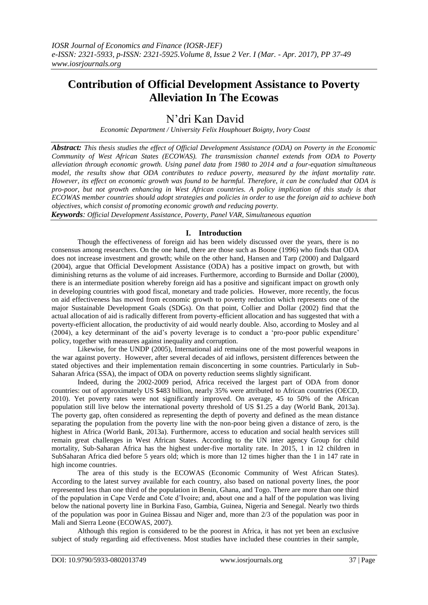# **Contribution of Official Development Assistance to Poverty Alleviation In The Ecowas**

# N"dri Kan David

*Economic Department / University Felix Houphouet Boigny, Ivory Coast* 

*Abstract: This thesis studies the effect of Official Development Assistance (ODA) on Poverty in the Economic Community of West African States (ECOWAS). The transmission channel extends from ODA to Poverty alleviation through economic growth. Using panel data from 1980 to 2014 and a four-equation simultaneous model, the results show that ODA contributes to reduce poverty, measured by the infant mortality rate. However, its effect on economic growth was found to be harmful. Therefore, it can be concluded that ODA is pro-poor, but not growth enhancing in West African countries. A policy implication of this study is that ECOWAS member countries should adopt strategies and policies in order to use the foreign aid to achieve both objectives, which consist of promoting economic growth and reducing poverty.* 

*Keywords: Official Development Assistance, Poverty, Panel VAR, Simultaneous equation* 

# **I. Introduction**

Though the effectiveness of foreign aid has been widely discussed over the years, there is no consensus among researchers. On the one hand, there are those such as Boone (1996) who finds that ODA does not increase investment and growth; while on the other hand, Hansen and Tarp (2000) and Dalgaard (2004), argue that Official Development Assistance (ODA) has a positive impact on growth, but with diminishing returns as the volume of aid increases. Furthermore, according to Burnside and Dollar (2000), there is an intermediate position whereby foreign aid has a positive and significant impact on growth only in developing countries with good fiscal, monetary and trade policies. However, more recently, the focus on aid effectiveness has moved from economic growth to poverty reduction which represents one of the major Sustainable Development Goals (SDGs). On that point, Collier and Dollar (2002) find that the actual allocation of aid is radically different from poverty-efficient allocation and has suggested that with a poverty-efficient allocation, the productivity of aid would nearly double. Also, according to Mosley and al (2004), a key determinant of the aid"s poverty leverage is to conduct a "pro-poor public expenditure" policy, together with measures against inequality and corruption.

Likewise, for the UNDP (2005), International aid remains one of the most powerful weapons in the war against poverty. However, after several decades of aid inflows, persistent differences between the stated objectives and their implementation remain disconcerting in some countries. Particularly in Sub-Saharan Africa (SSA), the impact of ODA on poverty reduction seems slightly significant.

Indeed, during the 2002-2009 period, Africa received the largest part of ODA from donor countries: out of approximately US \$483 billion, nearly 35% were attributed to African countries (OECD, 2010). Yet poverty rates were not significantly improved. On average, 45 to 50% of the African population still live below the international poverty threshold of US \$1.25 a day (World Bank, 2013a). The poverty gap, often considered as representing the depth of poverty and defined as the mean distance separating the population from the poverty line with the non-poor being given a distance of zero, is the highest in Africa (World Bank, 2013a). Furthermore, access to education and social health services still remain great challenges in West African States. According to the UN inter agency Group for child mortality, Sub-Saharan Africa has the highest under-five mortality rate. In 2015, 1 in 12 children in SubSaharan Africa died before 5 years old; which is more than 12 times higher than the 1 in 147 rate in high income countries.

The area of this study is the ECOWAS (Economic Community of West African States). According to the latest survey available for each country, also based on national poverty lines, the poor represented less than one third of the population in Benin, Ghana, and Togo. There are more than one third of the population in Cape Verde and Cote d"Ivoire; and, about one and a half of the population was living below the national poverty line in Burkina Faso, Gambia, Guinea, Nigeria and Senegal. Nearly two thirds of the population was poor in Guinea Bissau and Niger and, more than 2/3 of the population was poor in Mali and Sierra Leone (ECOWAS, 2007).

Although this region is considered to be the poorest in Africa, it has not yet been an exclusive subject of study regarding aid effectiveness. Most studies have included these countries in their sample,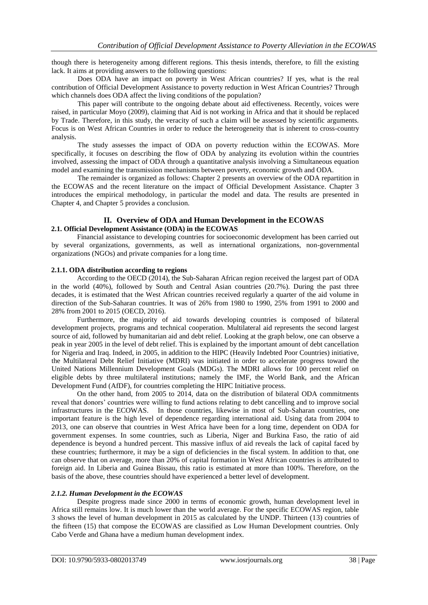though there is heterogeneity among different regions. This thesis intends, therefore, to fill the existing lack. It aims at providing answers to the following questions:

Does ODA have an impact on poverty in West African countries? If yes, what is the real contribution of Official Development Assistance to poverty reduction in West African Countries? Through which channels does ODA affect the living conditions of the population?

This paper will contribute to the ongoing debate about aid effectiveness. Recently, voices were raised, in particular Moyo (2009), claiming that Aid is not working in Africa and that it should be replaced by Trade. Therefore, in this study, the veracity of such a claim will be assessed by scientific arguments. Focus is on West African Countries in order to reduce the heterogeneity that is inherent to cross-country analysis.

The study assesses the impact of ODA on poverty reduction within the ECOWAS. More specifically, it focuses on describing the flow of ODA by analyzing its evolution within the countries involved, assessing the impact of ODA through a quantitative analysis involving a Simultaneous equation model and examining the transmission mechanisms between poverty, economic growth and ODA.

The remainder is organized as follows: Chapter 2 presents an overview of the ODA repartition in the ECOWAS and the recent literature on the impact of Official Development Assistance. Chapter 3 introduces the empirical methodology, in particular the model and data. The results are presented in Chapter 4, and Chapter 5 provides a conclusion.

# **II. Overview of ODA and Human Development in the ECOWAS 2.1. Official Development Assistance (ODA) in the ECOWAS**

Financial assistance to developing countries for socioeconomic development has been carried out by several organizations, governments, as well as international organizations, non-governmental organizations (NGOs) and private companies for a long time.

## **2.1.1. ODA distribution according to regions**

According to the OECD (2014), the Sub-Saharan African region received the largest part of ODA in the world (40%), followed by South and Central Asian countries (20.7%). During the past three decades, it is estimated that the West African countries received regularly a quarter of the aid volume in direction of the Sub-Saharan countries. It was of 26% from 1980 to 1990, 25% from 1991 to 2000 and 28% from 2001 to 2015 (OECD, 2016).

Furthermore, the majority of aid towards developing countries is composed of bilateral development projects, programs and technical cooperation. Multilateral aid represents the second largest source of aid, followed by humanitarian aid and debt relief. Looking at the graph below, one can observe a peak in year 2005 in the level of debt relief. This is explained by the important amount of debt cancellation for Nigeria and Iraq. Indeed, in 2005, in addition to the HIPC (Heavily Indebted Poor Countries) initiative, the Multilateral Debt Relief Initiative (MDRI) was initiated in order to accelerate progress toward the United Nations Millennium Development Goals (MDGs). The MDRI allows for 100 percent relief on eligible debts by three multilateral institutions; namely the IMF, the World Bank, and the African Development Fund (AfDF), for countries completing the HIPC Initiative process.

On the other hand, from 2005 to 2014, data on the distribution of bilateral ODA commitments reveal that donors" countries were willing to fund actions relating to debt cancelling and to improve social infrastructures in the ECOWAS. In those countries, likewise in most of Sub-Saharan countries, one important feature is the high level of dependence regarding international aid. Using data from 2004 to 2013, one can observe that countries in West Africa have been for a long time, dependent on ODA for government expenses. In some countries, such as Liberia, Niger and Burkina Faso, the ratio of aid dependence is beyond a hundred percent. This massive influx of aid reveals the lack of capital faced by these countries; furthermore, it may be a sign of deficiencies in the fiscal system. In addition to that, one can observe that on average, more than 20% of capital formation in West African countries is attributed to foreign aid. In Liberia and Guinea Bissau, this ratio is estimated at more than 100%. Therefore, on the basis of the above, these countries should have experienced a better level of development.

# *2.1.2. Human Development in the ECOWAS*

Despite progress made since 2000 in terms of economic growth, human development level in Africa still remains low. It is much lower than the world average. For the specific ECOWAS region, table 3 shows the level of human development in 2015 as calculated by the UNDP. Thirteen (13) countries of the fifteen (15) that compose the ECOWAS are classified as Low Human Development countries. Only Cabo Verde and Ghana have a medium human development index.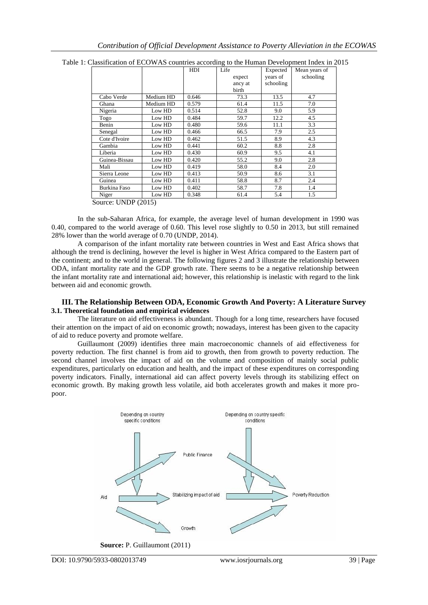|                     |           | HDI   | Life    | Expected  | Mean years of |
|---------------------|-----------|-------|---------|-----------|---------------|
|                     |           |       | expect  | years of  | schooling     |
|                     |           |       | ancy at | schooling |               |
|                     |           |       | birth   |           |               |
| Cabo Verde          | Medium HD | 0.646 | 73.3    | 13.5      | 4.7           |
| Ghana               | Medium HD | 0.579 | 61.4    | 11.5      | 7.0           |
| Nigeria             | Low HD    | 0.514 | 52.8    | 9.0       | 5.9           |
| Togo                | Low HD    | 0.484 | 59.7    | 12.2      | 4.5           |
| Benin               | Low HD    | 0.480 | 59.6    | 11.1      | 3.3           |
| Senegal             | Low HD    | 0.466 | 66.5    | 7.9       | 2.5           |
| Cote d'Ivoire       | Low HD    | 0.462 | 51.5    | 8.9       | 4.3           |
| Gambia              | Low HD    | 0.441 | 60.2    | 8.8       | 2.8           |
| Liberia             | Low HD    | 0.430 | 60.9    | 9.5       | 4.1           |
| Guinea-Bissau       | Low HD    | 0.420 | 55.2    | 9.0       | 2.8           |
| Mali                | Low HD    | 0.419 | 58.0    | 8.4       | 2.0           |
| Sierra Leone        | Low HD    | 0.413 | 50.9    | 8.6       | 3.1           |
| Guinea              | Low HD    | 0.411 | 58.8    | 8.7       | 2.4           |
| <b>Burkina Faso</b> | Low HD    | 0.402 | 58.7    | 7.8       | 1.4           |
| Niger               | Low HD    | 0.348 | 61.4    | 5.4       | 1.5           |

Table 1: Classification of ECOWAS countries according to the Human Development Index in 2015

Source: UNDP (2015)

In the sub-Saharan Africa, for example, the average level of human development in 1990 was 0.40, compared to the world average of 0.60. This level rose slightly to 0.50 in 2013, but still remained 28% lower than the world average of 0.70 (UNDP, 2014).

A comparison of the infant mortality rate between countries in West and East Africa shows that although the trend is declining, however the level is higher in West Africa compared to the Eastern part of the continent; and to the world in general. The following figures 2 and 3 illustrate the relationship between ODA, infant mortality rate and the GDP growth rate. There seems to be a negative relationship between the infant mortality rate and international aid; however, this relationship is inelastic with regard to the link between aid and economic growth.

## **III. The Relationship Between ODA, Economic Growth And Poverty: A Literature Survey 3.1. Theoretical foundation and empirical evidences**

The literature on aid effectiveness is abundant. Though for a long time, researchers have focused their attention on the impact of aid on economic growth; nowadays, interest has been given to the capacity of aid to reduce poverty and promote welfare.

Guillaumont (2009) identifies three main macroeconomic channels of aid effectiveness for poverty reduction. The first channel is from aid to growth, then from growth to poverty reduction. The second channel involves the impact of aid on the volume and composition of mainly social public expenditures, particularly on education and health, and the impact of these expenditures on corresponding poverty indicators. Finally, international aid can affect poverty levels through its stabilizing effect on economic growth. By making growth less volatile, aid both accelerates growth and makes it more propoor.

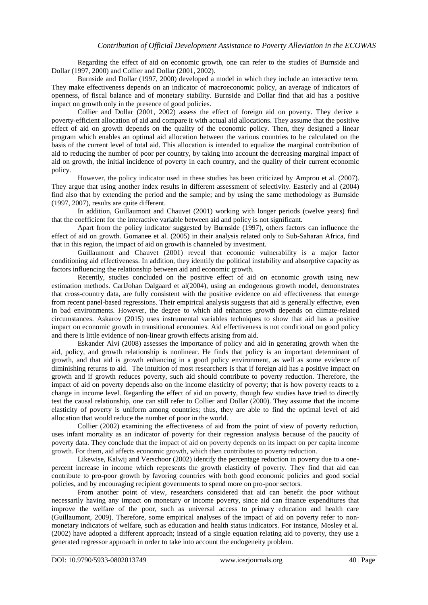Regarding the effect of aid on economic growth, one can refer to the studies of Burnside and Dollar (1997, 2000) and Collier and Dollar (2001, 2002).

Burnside and Dollar (1997, 2000) developed a model in which they include an interactive term. They make effectiveness depends on an indicator of macroeconomic policy, an average of indicators of openness, of fiscal balance and of monetary stability. Burnside and Dollar find that aid has a positive impact on growth only in the presence of good policies.

Collier and Dollar (2001, 2002) assess the effect of foreign aid on poverty. They derive a poverty-efficient allocation of aid and compare it with actual aid allocations. They assume that the positive effect of aid on growth depends on the quality of the economic policy. Then, they designed a linear program which enables an optimal aid allocation between the various countries to be calculated on the basis of the current level of total aid. This allocation is intended to equalize the marginal contribution of aid to reducing the number of poor per country, by taking into account the decreasing marginal impact of aid on growth, the initial incidence of poverty in each country, and the quality of their current economic policy.

However, the policy indicator used in these studies has been criticized by Amprou et al. (2007). They argue that using another index results in different assessment of selectivity. Easterly and al (2004) find also that by extending the period and the sample; and by using the same methodology as Burnside (1997, 2007), results are quite different.

In addition, Guillaumont and Chauvet (2001) working with longer periods (twelve years) find that the coefficient for the interactive variable between aid and policy is not significant.

Apart from the policy indicator suggested by Burnside (1997), others factors can influence the effect of aid on growth. Gomanee et al. (2005) in their analysis related only to Sub-Saharan Africa, find that in this region, the impact of aid on growth is channeled by investment.

Guillaumont and Chauvet (2001) reveal that economic vulnerability is a major factor conditioning aid effectiveness. In addition, they identify the political instability and absorptive capacity as factors influencing the relationship between aid and economic growth.

Recently, studies concluded on the positive effect of aid on economic growth using new estimation methods. CarlJohan Dalgaard et al(2004), using an endogenous growth model, demonstrates that cross-country data, are fully consistent with the positive evidence on aid effectiveness that emerge from recent panel-based regressions. Their empirical analysis suggests that aid is generally effective, even in bad environments. However, the degree to which aid enhances growth depends on climate-related circumstances. Askarov (2015) uses instrumental variables techniques to show that aid has a positive impact on economic growth in transitional economies. Aid effectiveness is not conditional on good policy and there is little evidence of non-linear growth effects arising from aid.

Eskander Alvi (2008) assesses the importance of policy and aid in generating growth when the aid, policy, and growth relationship is nonlinear. He finds that policy is an important determinant of growth, and that aid is growth enhancing in a good policy environment, as well as some evidence of diminishing returns to aid. The intuition of most researchers is that if foreign aid has a positive impact on growth and if growth reduces poverty, such aid should contribute to poverty reduction. Therefore, the impact of aid on poverty depends also on the income elasticity of poverty; that is how poverty reacts to a change in income level. Regarding the effect of aid on poverty, though few studies have tried to directly test the causal relationship, one can still refer to Collier and Dollar (2000). They assume that the income elasticity of poverty is uniform among countries; thus, they are able to find the optimal level of aid allocation that would reduce the number of poor in the world.

Collier (2002) examining the effectiveness of aid from the point of view of poverty reduction, uses infant mortality as an indicator of poverty for their regression analysis because of the paucity of poverty data. They conclude that the impact of aid on poverty depends on its impact on per capita income growth. For them, aid affects economic growth, which then contributes to poverty reduction.

Likewise, Kalwij and Verschoor (2002) identify the percentage reduction in poverty due to a onepercent increase in income which represents the growth elasticity of poverty. They find that aid can contribute to pro-poor growth by favoring countries with both good economic policies and good social policies, and by encouraging recipient governments to spend more on pro-poor sectors.

From another point of view, researchers considered that aid can benefit the poor without necessarily having any impact on monetary or income poverty, since aid can finance expenditures that improve the welfare of the poor, such as universal access to primary education and health care (Guillaumont, 2009). Therefore, some empirical analyses of the impact of aid on poverty refer to nonmonetary indicators of welfare, such as education and health status indicators. For instance, Mosley et al. (2002) have adopted a different approach; instead of a single equation relating aid to poverty, they use a generated regressor approach in order to take into account the endogeneity problem.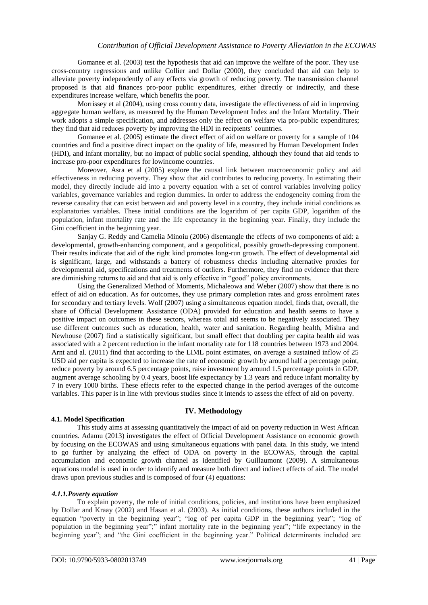Gomanee et al. (2003) test the hypothesis that aid can improve the welfare of the poor. They use cross-country regressions and unlike Collier and Dollar (2000), they concluded that aid can help to alleviate poverty independently of any effects via growth of reducing poverty. The transmission channel proposed is that aid finances pro-poor public expenditures, either directly or indirectly, and these expenditures increase welfare, which benefits the poor.

Morrissey et al (2004), using cross country data, investigate the effectiveness of aid in improving aggregate human welfare, as measured by the Human Development Index and the Infant Mortality. Their work adopts a simple specification, and addresses only the effect on welfare via pro-public expenditures; they find that aid reduces poverty by improving the HDI in recipients' countries.

Gomanee et al. (2005) estimate the direct effect of aid on welfare or poverty for a sample of 104 countries and find a positive direct impact on the quality of life, measured by Human Development Index (HDI), and infant mortality, but no impact of public social spending, although they found that aid tends to increase pro-poor expenditures for lowincome countries.

Moreover, Asra et al (2005) explore the causal link between macroeconomic policy and aid effectiveness in reducing poverty. They show that aid contributes to reducing poverty. In estimating their model, they directly include aid into a poverty equation with a set of control variables involving policy variables, governance variables and region dummies. In order to address the endogeneity coming from the reverse causality that can exist between aid and poverty level in a country, they include initial conditions as explanatories variables. These initial conditions are the logarithm of per capita GDP, logarithm of the population, infant mortality rate and the life expectancy in the beginning year. Finally, they include the Gini coefficient in the beginning year.

Sanjay G. Reddy and Camelia Minoiu (2006) disentangle the effects of two components of aid: a developmental, growth-enhancing component, and a geopolitical, possibly growth-depressing component. Their results indicate that aid of the right kind promotes long-run growth. The effect of developmental aid is significant, large, and withstands a battery of robustness checks including alternative proxies for developmental aid, specifications and treatments of outliers. Furthermore, they find no evidence that there are diminishing returns to aid and that aid is only effective in "good" policy environments.

Using the Generalized Method of Moments, Michaleowa and Weber (2007) show that there is no effect of aid on education. As for outcomes, they use primary completion rates and gross enrolment rates for secondary and tertiary levels. Wolf (2007) using a simultaneous equation model, finds that, overall, the share of Official Development Assistance (ODA) provided for education and health seems to have a positive impact on outcomes in these sectors, whereas total aid seems to be negatively associated. They use different outcomes such as education, health, water and sanitation. Regarding health, Mishra and Newhouse (2007) find a statistically significant, but small effect that doubling per capita health aid was associated with a 2 percent reduction in the infant mortality rate for 118 countries between 1973 and 2004. Arnt and al. (2011) find that according to the LIML point estimates, on average a sustained inflow of 25 USD aid per capita is expected to increase the rate of economic growth by around half a percentage point, reduce poverty by around 6.5 percentage points, raise investment by around 1.5 percentage points in GDP, augment average schooling by 0.4 years, boost life expectancy by 1.3 years and reduce infant mortality by 7 in every 1000 births. These effects refer to the expected change in the period averages of the outcome variables. This paper is in line with previous studies since it intends to assess the effect of aid on poverty.

# **IV. Methodology**

# **4.1. Model Specification**

This study aims at assessing quantitatively the impact of aid on poverty reduction in West African countries. Adamu (2013) investigates the effect of Official Development Assistance on economic growth by focusing on the ECOWAS and using simultaneous equations with panel data. In this study, we intend to go further by analyzing the effect of ODA on poverty in the ECOWAS, through the capital accumulation and economic growth channel as identified by Guillaumont (2009). A simultaneous equations model is used in order to identify and measure both direct and indirect effects of aid. The model draws upon previous studies and is composed of four (4) equations:

#### *4.1.1.Poverty equation*

To explain poverty, the role of initial conditions, policies, and institutions have been emphasized by Dollar and Kraay (2002) and Hasan et al. (2003). As initial conditions, these authors included in the equation "poverty in the beginning year"; "log of per capita GDP in the beginning year"; "log of population in the beginning year";" infant mortality rate in the beginning year"; "life expectancy in the beginning year"; and "the Gini coefficient in the beginning year." Political determinants included are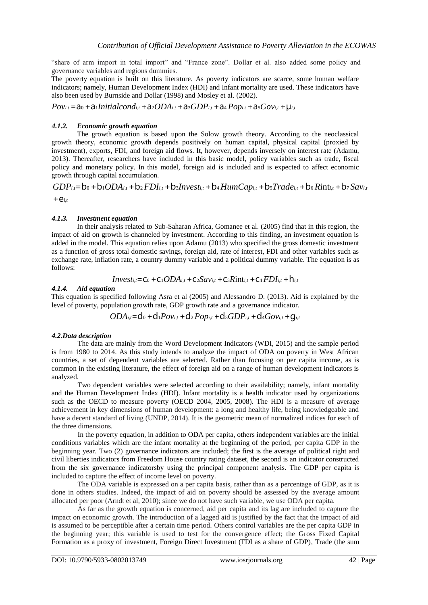"share of arm import in total import" and "France zone". Dollar et al. also added some policy and governance variables and regions dummies.

The poverty equation is built on this literature. As poverty indicators are scarce, some human welfare indicators; namely, Human Development Index (HDI) and Infant mortality are used. These indicators have also been used by Burnside and Dollar (1998) and Mosley et al. (2002).

 $Pov_{i,t} = a_0 + a_1 \text{Initialcond}_{i,t} + a_2 \text{ODA}_{i,t} + a_3 \text{GDP}_{i,t} + a_4 \text{Pop}_{i,t} + a_5 \text{GO}_{i,t} + \mu_{i,t}$ 

## *4.1.2. Economic growth equation*

The growth equation is based upon the Solow growth theory. According to the neoclassical growth theory, economic growth depends positively on human capital, physical capital (proxied by investment), exports, FDI, and foreign aid flows. It, however, depends inversely on interest rate (Adamu, 2013). Thereafter, researchers have included in this basic model, policy variables such as trade, fiscal policy and monetary policy. In this model, foreign aid is included and is expected to affect economic growth through capital accumulation.

 $GDP_{i,t} = b_0 + b_1 ODA_{i,t} + b_2 FDI_{i,t} + b_3 Invest_{i,t} + b_4 HumCap_{i,t} + b_5 Trade_{i,t} + b_6 Rint_{i,t} + b_7 Sav_{i,t}$  $+e_{i,t}$ 

## *4.1.3. Investment equation*

In their analysis related to Sub-Saharan Africa, Gomanee et al. (2005) find that in this region, the impact of aid on growth is channeled by investment. According to this finding, an investment equation is added in the model. This equation relies upon Adamu (2013) who specified the gross domestic investment as a function of gross total domestic savings, foreign aid, rate of interest, FDI and other variables such as exchange rate, inflation rate, a country dummy variable and a political dummy variable. The equation is as follows:

$$
Invest_{i,t} = C_0 + C_1ODA_{i,t} + C_2Sav_{i,t} + C_3Rint_{i,t} + C_4FDI_{i,t} + h_{i,t}
$$

#### *4.1.4. Aid equation*

This equation is specified following Asra et al (2005) and Alessandro D. (2013). Aid is explained by the level of poverty, population growth rate, GDP growth rate and a governance indicator.

$$
ODA_{i,t}=d_0+d_1Pov_{i,t}+d_2Pop_{i,t}+d_3GDP_{i,t}+d_4Gov_{i,t}+g_{i,t}
$$

#### *4.2.Data description*

The data are mainly from the Word Development Indicators (WDI, 2015) and the sample period is from 1980 to 2014. As this study intends to analyze the impact of ODA on poverty in West African countries, a set of dependent variables are selected. Rather than focusing on per capita income, as is common in the existing literature, the effect of foreign aid on a range of human development indicators is analyzed.

Two dependent variables were selected according to their availability; namely, infant mortality and the Human Development Index (HDI). Infant mortality is a health indicator used by organizations such as the OECD to measure poverty (OECD 2004, 2005, 2008). The HDI is a measure of average achievement in key dimensions of human development: a long and healthy life, being knowledgeable and have a decent standard of living (UNDP, 2014). It is the geometric mean of normalized indices for each of the three dimensions.

In the poverty equation, in addition to ODA per capita, others independent variables are the initial conditions variables which are the infant mortality at the beginning of the period, per capita GDP in the beginning year. Two (2) governance indicators are included; the first is the average of political right and civil liberties indicators from Freedom House country rating dataset, the second is an indicator constructed from the six governance indicatorsby using the principal component analysis. The GDP per capita is included to capture the effect of income level on poverty.

The ODA variable is expressed on a per capita basis, rather than as a percentage of GDP, as it is done in others studies. Indeed, the impact of aid on poverty should be assessed by the average amount allocated per poor (Arndt et al, 2010); since we do not have such variable, we use ODA per capita.

As far as the growth equation is concerned, aid per capita and its lag are included to capture the impact on economic growth. The introduction of a lagged aid is justified by the fact that the impact of aid is assumed to be perceptible after a certain time period. Others control variables are the per capita GDP in the beginning year; this variable is used to test for the convergence effect; the Gross Fixed Capital Formation as a proxy of investment, Foreign Direct Investment (FDI as a share of GDP), Trade (the sum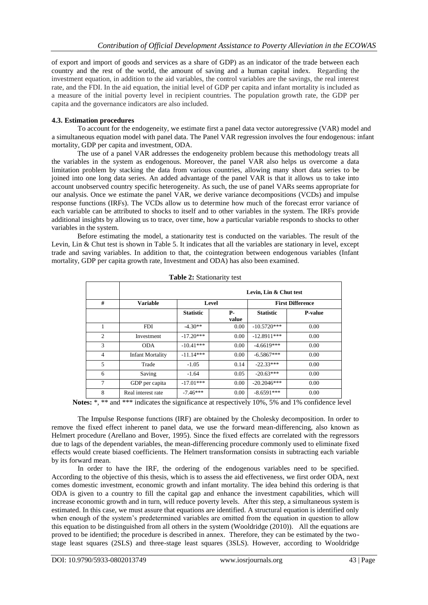of export and import of goods and services as a share of GDP) as an indicator of the trade between each country and the rest of the world, the amount of saving and a human capital index. Regarding the investment equation, in addition to the aid variables, the control variables are the savings, the real interest rate, and the FDI. In the aid equation, the initial level of GDP per capita and infant mortality is included as a measure of the initial poverty level in recipient countries. The population growth rate, the GDP per capita and the governance indicators are also included.

## **4.3. Estimation procedures**

To account for the endogeneity, we estimate first a panel data vector autoregressive (VAR) model and a simultaneous equation model with panel data. The Panel VAR regression involves the four endogenous: infant mortality, GDP per capita and investment, ODA.

The use of a panel VAR addresses the endogeneity problem because this methodology treats all the variables in the system as endogenous. Moreover, the panel VAR also helps us overcome a data limitation problem by stacking the data from various countries, allowing many short data series to be joined into one long data series. An added advantage of the panel VAR is that it allows us to take into account unobserved country specific heterogeneity. As such, the use of panel VARs seems appropriate for our analysis. Once we estimate the panel VAR, we derive variance decompositions (VCDs) and impulse response functions (IRFs). The VCDs allow us to determine how much of the forecast error variance of each variable can be attributed to shocks to itself and to other variables in the system. The IRFs provide additional insights by allowing us to trace, over time, how a particular variable responds to shocks to other variables in the system.

Before estimating the model, a stationarity test is conducted on the variables. The result of the Levin, Lin & Chut test is shown in Table 5. It indicates that all the variables are stationary in level, except trade and saving variables. In addition to that, the cointegration between endogenous variables (Infant mortality, GDP per capita growth rate, Investment and ODA) has also been examined.

|                | Levin, Lin & Chut test  |                  |                    |                  |                         |  |
|----------------|-------------------------|------------------|--------------------|------------------|-------------------------|--|
| #              | <b>Variable</b>         | Level            |                    |                  | <b>First Difference</b> |  |
|                |                         | <b>Statistic</b> | <b>P-</b><br>value | <b>Statistic</b> | <b>P-value</b>          |  |
|                | <b>FDI</b>              | $-4.30**$        | 0.00               | $-10.5720***$    | 0.00                    |  |
| 2              | Investment              | $-17.20***$      | 0.00               | $-12.8911***$    | 0.00                    |  |
| 3              | <b>ODA</b>              | $-10.41***$      | 0.00               | $-4.6619***$     | 0.00                    |  |
| $\overline{4}$ | <b>Infant Mortality</b> | $-11.14***$      | 0.00               | $-6.5867***$     | 0.00                    |  |
| 5              | Trade                   | $-1.05$          | 0.14               | $-22.33***$      | 0.00                    |  |
| 6              | Saving                  | $-1.64$          | 0.05               | $-20.63***$      | 0.00                    |  |
| 7              | GDP per capita          | $-17.01***$      | 0.00               | $-20.2046***$    | 0.00                    |  |
| 8              | Real interest rate      | $-7.46***$       | 0.00               | $-8.6591***$     | 0.00                    |  |

| Table 2: Stationarity test |  |
|----------------------------|--|
|----------------------------|--|

**Notes:** \*, \*\* and \*\*\* indicates the significance at respectively 10%, 5% and 1% confidence level

The Impulse Response functions (IRF) are obtained by the Cholesky decomposition. In order to remove the fixed effect inherent to panel data, we use the forward mean-differencing, also known as Helmert procedure (Arellano and Bover, 1995). Since the fixed effects are correlated with the regressors due to lags of the dependent variables, the mean-differencing procedure commonly used to eliminate fixed effects would create biased coefficients. The Helmert transformation consists in subtracting each variable by its forward mean.

In order to have the IRF, the ordering of the endogenous variables need to be specified. According to the objective of this thesis, which is to assess the aid effectiveness, we first order ODA, next comes domestic investment, economic growth and infant mortality. The idea behind this ordering is that ODA is given to a country to fill the capital gap and enhance the investment capabilities, which will increase economic growth and in turn, will reduce poverty levels. After this step, a simultaneous system is estimated. In this case, we must assure that equations are identified. A structural equation is identified only when enough of the system's predetermined variables are omitted from the equation in question to allow this equation to be distinguished from all others in the system (Wooldridge (2010)). All the equations are proved to be identified; the procedure is described in annex. Therefore, they can be estimated by the twostage least squares (2SLS) and three-stage least squares (3SLS). However, according to Wooldridge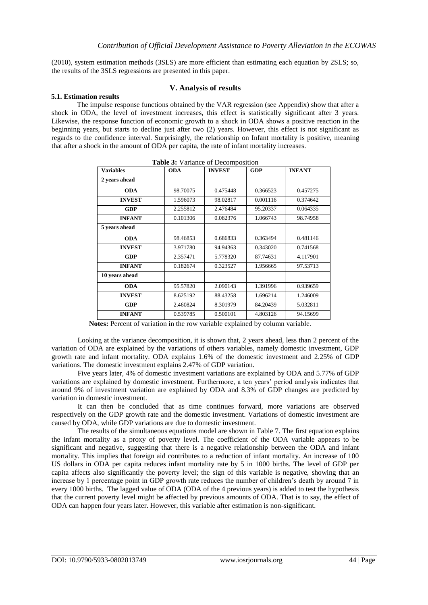(2010), system estimation methods (3SLS) are more efficient than estimating each equation by 2SLS; so, the results of the 3SLS regressions are presented in this paper.

## **V. Analysis of results**

## **5.1. Estimation results**

The impulse response functions obtained by the VAR regression (see Appendix) show that after a shock in ODA, the level of investment increases, this effect is statistically significant after 3 years. Likewise, the response function of economic growth to a shock in ODA shows a positive reaction in the beginning years, but starts to decline just after two (2) years. However, this effect is not significant as regards to the confidence interval. Surprisingly, the relationship on Infant mortality is positive, meaning that after a shock in the amount of ODA per capita, the rate of infant mortality increases.

**Table 3:** Variance of Decomposition

| <b>Table 3:</b> Variance of Decomposition |            |               |            |               |  |
|-------------------------------------------|------------|---------------|------------|---------------|--|
| <b>Variables</b>                          | <b>ODA</b> | <b>INVEST</b> | <b>GDP</b> | <b>INFANT</b> |  |
| 2 years ahead                             |            |               |            |               |  |
| <b>ODA</b>                                | 98.70075   | 0.475448      | 0.366523   | 0.457275      |  |
| <b>INVEST</b>                             | 1.596073   | 98.02817      | 0.001116   | 0.374642      |  |
| <b>GDP</b>                                | 2.255812   | 2.476484      | 95.20337   | 0.064335      |  |
| <b>INFANT</b>                             | 0.101306   | 0.082376      | 1.066743   | 98.74958      |  |
| 5 years ahead                             |            |               |            |               |  |
| <b>ODA</b>                                | 98.46853   | 0.686833      | 0.363494   | 0.481146      |  |
| <b>INVEST</b>                             | 3.971780   | 94.94363      | 0.343020   | 0.741568      |  |
| <b>GDP</b>                                | 2.357471   | 5.778320      | 87.74631   | 4.117901      |  |
| <b>INFANT</b>                             | 0.182674   | 0.323527      | 1.956665   | 97.53713      |  |
| 10 years ahead                            |            |               |            |               |  |
| <b>ODA</b>                                | 95.57820   | 2.090143      | 1.391996   | 0.939659      |  |
| <b>INVEST</b>                             | 8.625192   | 88.43258      | 1.696214   | 1.246009      |  |
| <b>GDP</b>                                | 2.460824   | 8.301979      | 84.20439   | 5.032811      |  |
| <b>INFANT</b>                             | 0.539785   | 0.500101      | 4.803126   | 94.15699      |  |

 **Notes:** Percent of variation in the row variable explained by column variable.

Looking at the variance decomposition, it is shown that, 2 years ahead, less than 2 percent of the variation of ODA are explained by the variations of others variables, namely domestic investment, GDP growth rate and infant mortality. ODA explains 1.6% of the domestic investment and 2.25% of GDP variations. The domestic investment explains 2.47% of GDP variation.

Five years later, 4% of domestic investment variations are explained by ODA and 5.77% of GDP variations are explained by domestic investment. Furthermore, a ten years" period analysis indicates that around 9% of investment variation are explained by ODA and 8.3% of GDP changes are predicted by variation in domestic investment.

It can then be concluded that as time continues forward, more variations are observed respectively on the GDP growth rate and the domestic investment. Variations of domestic investment are caused by ODA, while GDP variations are due to domestic investment.

The results of the simultaneous equations model are shown in Table 7. The first equation explains the infant mortality as a proxy of poverty level. The coefficient of the ODA variable appears to be significant and negative, suggesting that there is a negative relationship between the ODA and infant mortality. This implies that foreign aid contributes to a reduction of infant mortality. An increase of 100 US dollars in ODA per capita reduces infant mortality rate by 5 in 1000 births. The level of GDP per capita affects also significantly the poverty level; the sign of this variable is negative, showing that an increase by 1 percentage point in GDP growth rate reduces the number of children"s death by around 7 in every 1000 births. The lagged value of ODA (ODA of the 4 previous years) is added to test the hypothesis that the current poverty level might be affected by previous amounts of ODA. That is to say, the effect of ODA can happen four years later. However, this variable after estimation is non-significant.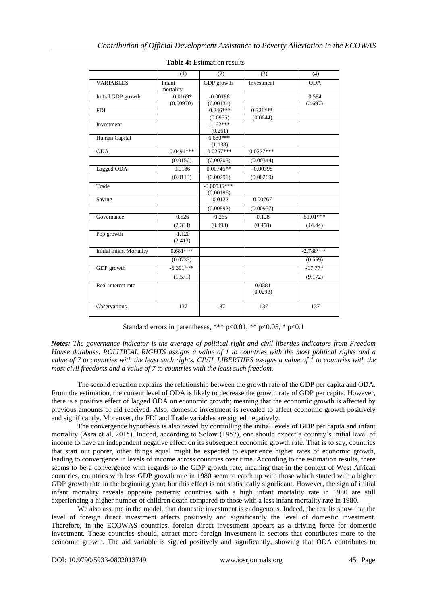|                          | (1)                 | (2)           | (3)                | (4)         |
|--------------------------|---------------------|---------------|--------------------|-------------|
| <b>VARIABLES</b>         | Infant<br>mortality | GDP growth    | Investment         | <b>ODA</b>  |
| Initial GDP growth       | $-0.0169*$          | $-0.00188$    |                    | 0.584       |
|                          | (0.00970)           | (0.00131)     |                    | (2.697)     |
| <b>FDI</b>               |                     | $-0.246***$   | $0.321***$         |             |
|                          |                     | (0.0955)      | (0.0644)           |             |
| Investment               |                     | $1.162***$    |                    |             |
|                          |                     | (0.261)       |                    |             |
| Human Capital            |                     | $6.680***$    |                    |             |
|                          |                     | (1.138)       |                    |             |
| <b>ODA</b>               | $-0.0491***$        | $-0.0257***$  | $0.0227***$        |             |
|                          | (0.0150)            | (0.00705)     | (0.00344)          |             |
| Lagged ODA               | 0.0186              | $0.00746**$   | $-0.00398$         |             |
|                          | (0.0113)            | (0.00291)     | (0.00269)          |             |
| Trade                    |                     | $-0.00536***$ |                    |             |
|                          |                     | (0.00196)     |                    |             |
| Saving                   |                     | $-0.0122$     | 0.00767            |             |
|                          |                     | (0.00892)     | (0.00957)          |             |
| Governance               | 0.526               | $-0.265$      | 0.128              | $-51.01***$ |
|                          | (2.334)             | (0.493)       | (0.458)            | (14.44)     |
| Pop growth               | $-1.120$            |               |                    |             |
|                          | (2.413)             |               |                    |             |
| Initial infant Mortality | $0.681***$          |               |                    | $-2.788***$ |
|                          | (0.0733)            |               |                    | (0.559)     |
| GDP growth               | $-6.391***$         |               |                    | $-17.77*$   |
|                          | (1.571)             |               |                    | (9.172)     |
| Real interest rate       |                     |               | 0.0381<br>(0.0293) |             |
| Observations             | 137                 | 137           | 137                | 137         |

**Table 4:** Estimation results

Standard errors in parentheses, \*\*\*  $p<0.01$ , \*\*  $p<0.05$ , \*  $p<0.1$ 

*Notes: The governance indicator is the average of political right and civil liberties indicators from Freedom House database. POLITICAL RIGHTS assigns a value of 1 to countries with the most political rights and a value of 7 to countries with the least such rights. CIVIL LIBERTIIES assigns a value of 1 to countries with the most civil freedoms and a value of 7 to countries with the least such freedom.* 

The second equation explains the relationship between the growth rate of the GDP per capita and ODA. From the estimation, the current level of ODA is likely to decrease the growth rate of GDP per capita. However, there is a positive effect of lagged ODA on economic growth; meaning that the economic growth is affected by previous amounts of aid received. Also, domestic investment is revealed to affect economic growth positively and significantly. Moreover, the FDI and Trade variables are signed negatively.

The convergence hypothesis is also tested by controlling the initial levels of GDP per capita and infant mortality (Asra et al, 2015). Indeed, according to Solow (1957), one should expect a country"s initial level of income to have an independent negative effect on its subsequent economic growth rate. That is to say, countries that start out poorer, other things equal might be expected to experience higher rates of economic growth, leading to convergence in levels of income across countries over time. According to the estimation results, there seems to be a convergence with regards to the GDP growth rate, meaning that in the context of West African countries, countries with less GDP growth rate in 1980 seem to catch up with those which started with a higher GDP growth rate in the beginning year; but this effect is not statistically significant. However, the sign of initial infant mortality reveals opposite patterns; countries with a high infant mortality rate in 1980 are still experiencing a higher number of children death compared to those with a less infant mortality rate in 1980.

We also assume in the model, that domestic investment is endogenous. Indeed, the results show that the level of foreign direct investment affects positively and significantly the level of domestic investment. Therefore, in the ECOWAS countries, foreign direct investment appears as a driving force for domestic investment. These countries should, attract more foreign investment in sectors that contributes more to the economic growth. The aid variable is signed positively and significantly, showing that ODA contributes to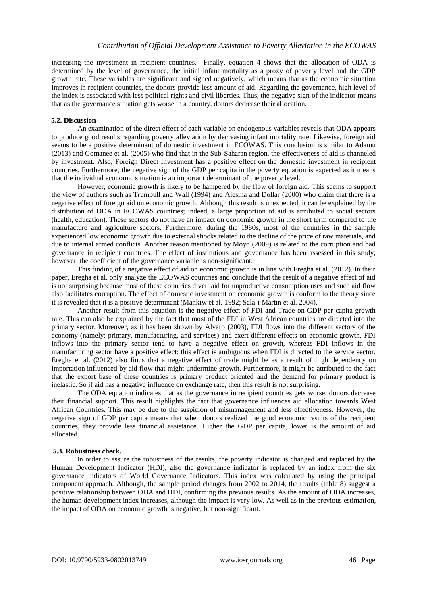increasing the investment in recipient countries. Finally, equation 4 shows that the allocation of ODA is determined by the level of governance, the initial infant mortality as a proxy of poverty level and the GDP growth rate. These variables are significant and signed negatively, which means that as the economic situation improves in recipient countries, the donors provide less amount of aid. Regarding the governance, high level of the index is associated with less political rights and civil liberties. Thus, the negative sign of the indicator means that as the governance situation gets worse in a country, donors decrease their allocation.

## **5.2. Discussion**

An examination of the direct effect of each variable on endogenous variables reveals that ODA appears to produce good results regarding poverty alleviation by decreasing infant mortality rate. Likewise, foreign aid seems to be a positive determinant of domestic investment in ECOWAS. This conclusion is similar to Adamu (2013) and Gomanee et al. (2005) who find that in the Sub-Saharan region, the effectiveness of aid is channeled by investment. Also, Foreign Direct Investment has a positive effect on the domestic investment in recipient countries. Furthermore, the negative sign of the GDP per capita in the poverty equation is expected as it means that the individual economic situation is an important determinant of the poverty level.

However, economic growth is likely to be hampered by the flow of foreign aid. This seems to support the view of authors such as Trumbull and Wall (1994) and Alesina and Dollar (2000) who claim that there is a negative effect of foreign aid on economic growth. Although this result is unexpected, it can be explained by the distribution of ODA in ECOWAS countries; indeed, a large proportion of aid is attributed to social sectors (health, education). These sectors do not have an impact on economic growth in the short term compared to the manufacture and agriculture sectors. Furthermore, during the 1980s, most of the countries in the sample experienced low economic growth due to external shocks related to the decline of the price of raw materials, and due to internal armed conflicts. Another reason mentioned by Moyo (2009) is related to the corruption and bad governance in recipient countries. The effect of institutions and governance has been assessed in this study; however, the coefficient of the governance variable is non-significant.

This finding of a negative effect of aid on economic growth is in line with Eregha et al. (2012). In their paper, Eregha et al. only analyze the ECOWAS countries and conclude that the result of a negative effect of aid is not surprising because most of these countries divert aid for unproductive consumption uses and such aid flow also facilitates corruption. The effect of domestic investment on economic growth is conform to the theory since it is revealed that it is a positive determinant (Mankiw et al. 1992; Sala-i-Martin et al. 2004).

Another result from this equation is the negative effect of FDI and Trade on GDP per capita growth rate. This can also be explained by the fact that most of the FDI in West African countries are directed into the primary sector. Moreover, as it has been shown by Alvaro (2003), FDI flows into the different sectors of the economy (namely; primary, manufacturing, and services) and exert different effects on economic growth. FDI inflows into the primary sector tend to have a negative effect on growth, whereas FDI inflows in the manufacturing sector have a positive effect; this effect is ambiguous when FDI is directed to the service sector. Eregha et al. (2012) also finds that a negative effect of trade might be as a result of high dependency on importation influenced by aid flow that might undermine growth. Furthermore, it might be attributed to the fact that the export base of these countries is primary product oriented and the demand for primary product is inelastic. So if aid has a negative influence on exchange rate, then this result is not surprising.

The ODA equation indicates that as the governance in recipient countries gets worse, donors decrease their financial support. This result highlights the fact that governance influences aid allocation towards West African Countries. This may be due to the suspicion of mismanagement and less effectiveness. However, the negative sign of GDP per capita means that when donors realized the good economic results of the recipient countries, they provide less financial assistance. Higher the GDP per capita, lower is the amount of aid allocated.

#### **5.3. Robustness check.**

In order to assure the robustness of the results, the poverty indicator is changed and replaced by the Human Development Indicator (HDI), also the governance indicator is replaced by an index from the six governance indicators of World Governance Indicators. This index was calculated by using the principal component approach. Although, the sample period changes from 2002 to 2014, the results (table 8) suggest a positive relationship between ODA and HDI, confirming the previous results. As the amount of ODA increases, the human development index increases, although the impact is very low. As well as in the previous estimation, the impact of ODA on economic growth is negative, but non-significant.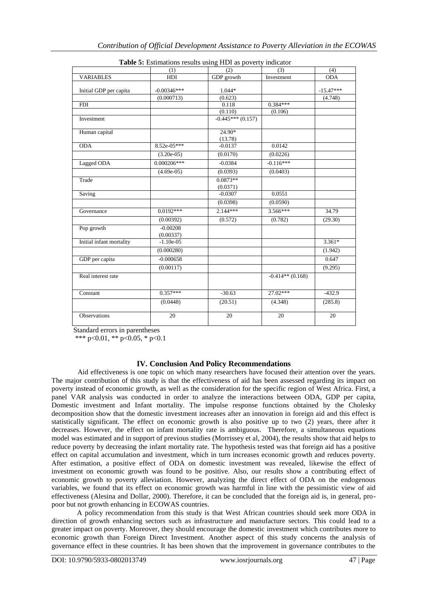|                          | (1)                         | <b>Tuble of Estimations results asing TIDT</b> as poverty indicator<br>(2) | (3)                | (4)                    |
|--------------------------|-----------------------------|----------------------------------------------------------------------------|--------------------|------------------------|
| <b>VARIABLES</b>         | HDI                         | GDP growth                                                                 | Investment         | <b>ODA</b>             |
| Initial GDP per capita   | $-0.00346***$<br>(0.000713) | 1.044*<br>(0.623)                                                          |                    | $-15.47***$<br>(4.748) |
| <b>FDI</b>               |                             | 0.118                                                                      | $0.384***$         |                        |
|                          |                             | (0.110)                                                                    | (0.106)            |                        |
| Investment               |                             | $-0.445***(0.157)$                                                         |                    |                        |
| Human capital            |                             | $24.90*$<br>(13.78)                                                        |                    |                        |
| <b>ODA</b>               | 8.52e-05***                 | $-0.0137$                                                                  | 0.0142             |                        |
|                          | $(3.20e-05)$                | (0.0170)                                                                   | (0.0226)           |                        |
| Lagged ODA               | $0.000206***$               | $-0.0384$                                                                  | $-0.116***$        |                        |
|                          | $(4.69e-05)$                | (0.0393)                                                                   | (0.0403)           |                        |
| Trade                    |                             | $0.0873**$<br>(0.0371)                                                     |                    |                        |
| Saving                   |                             | $-0.0307$                                                                  | 0.0551             |                        |
|                          |                             | (0.0398)                                                                   | (0.0590)           |                        |
| Governance               | $0.0192***$                 | 2.144***                                                                   | $3.566***$         | 34.79                  |
|                          | (0.00392)                   | (0.572)                                                                    | (0.782)            | (29.30)                |
| Pop growth               | $-0.00208$<br>(0.00337)     |                                                                            |                    |                        |
| Initial infant mortality | $-1.10e-05$                 |                                                                            |                    | $3.361*$               |
|                          | (0.000280)                  |                                                                            |                    | (1.942)                |
| GDP per capita           | $-0.000658$                 |                                                                            |                    | 0.647                  |
|                          | (0.00117)                   |                                                                            |                    | (9.295)                |
| Real interest rate       |                             |                                                                            | $-0.414**$ (0.168) |                        |
| Constant                 | $0.357***$                  | $-30.63$                                                                   | $27.02***$         | $-432.9$               |
|                          | (0.0448)                    | (20.51)                                                                    | (4.348)            | (285.8)                |
| Observations             | 20                          | 20                                                                         | 20                 | 20                     |

| Table 5: Estimations results using HDI as poverty indicator |  |
|-------------------------------------------------------------|--|
|-------------------------------------------------------------|--|

Standard errors in parentheses

\*\*\* p<0.01, \*\* p<0.05, \* p<0.1

# **IV. Conclusion And Policy Recommendations**

Aid effectiveness is one topic on which many researchers have focused their attention over the years. The major contribution of this study is that the effectiveness of aid has been assessed regarding its impact on poverty instead of economic growth, as well as the consideration for the specific region of West Africa. First, a panel VAR analysis was conducted in order to analyze the interactions between ODA, GDP per capita, Domestic investment and Infant mortality. The impulse response functions obtained by the Cholesky decomposition show that the domestic investment increases after an innovation in foreign aid and this effect is statistically significant. The effect on economic growth is also positive up to two (2) years, there after it decreases. However, the effect on infant mortality rate is ambiguous. Therefore, a simultaneous equations model was estimated and in support of previous studies (Morrissey et al, 2004), the results show that aid helps to reduce poverty by decreasing the infant mortality rate. The hypothesis tested was that foreign aid has a positive effect on capital accumulation and investment, which in turn increases economic growth and reduces poverty. After estimation, a positive effect of ODA on domestic investment was revealed, likewise the effect of investment on economic growth was found to be positive. Also, our results show a contributing effect of economic growth to poverty alleviation. However, analyzing the direct effect of ODA on the endogenous variables, we found that its effect on economic growth was harmful in line with the pessimistic view of aid effectiveness (Alesina and Dollar, 2000). Therefore, it can be concluded that the foreign aid is, in general, propoor but not growth enhancing in ECOWAS countries.

A policy recommendation from this study is that West African countries should seek more ODA in direction of growth enhancing sectors such as infrastructure and manufacture sectors. This could lead to a greater impact on poverty. Moreover, they should encourage the domestic investment which contributes more to economic growth than Foreign Direct Investment. Another aspect of this study concerns the analysis of governance effect in these countries. It has been shown that the improvement in governance contributes to the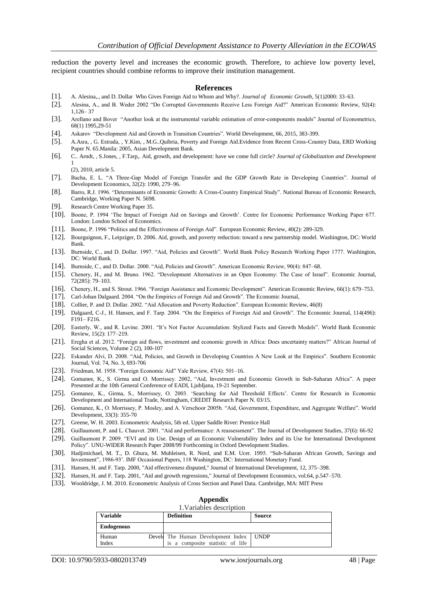reduction the poverty level and increases the economic growth. Therefore, to achieve low poverty level, recipient countries should combine reforms to improve their institution management.

#### **References**

- [1]. A. Alesina,., and D. Dollar Who Gives Foreign Aid to Whom and Why?. *Journal of Economic Growth*, 5(1)2000: 33–63.
- [2]. Alesina, A., and B. Weder 2002 "Do Corrupted Governments Receive Less Foreign Aid?" American Economic Review, 92(4): 1,126– 37
- [3]. Arellano and Bover "Another look at the instrumental variable estimation of error-components models" Journal of Econometrics, 68(1) 1995,29-51
- [4]. Askarov "Development Aid and Growth in Transition Countries". World Development, 66, 2015, 383-399.
- [5]. A.Asra, , G. Estrada, , Y.Kim, , M.G..Quibria, Poverty and Foreign Aid.Evidence from Recent Cross-Country Data, ERD Working Paper N. 65.Manila: 2005, Asian Development Bank.
- [6]. C.. Arndt, , S.Jones, , F.Tarp,. Aid, growth, and development: have we come full circle? *Journal of Globalization and Development* 1
	- (2), 2010, article 5.
- [7]. Bacha, E. L. "A Three-Gap Model of Foreign Transfer and the GDP Growth Rate in Developing Countries". Journal of Development Economics, 32(2): 1990, 279–96.
- [8]. Barro, R.J. 1996. "Determinants of Economic Growth: A Cross-Country Empirical Study". National Bureau of Economic Research, Cambridge, Working Paper N. 5698.
- [9]. Research Centre Working Paper 35.
- [10]. Boone, P. 1994 "The Impact of Foreign Aid on Savings and Growth". Centre for Economic Performance Working Paper 677. London: London School of Economics.
- [11]. Boone, P. 1996 "Politics and the Effectiveness of Foreign Aid". European Economic Review, 40(2): 289-329.
- [12]. Bourguignon, F., Leipziger, D. 2006. Aid, growth, and poverty reduction: toward a new partnership model. Washington, DC: World Bank.
- [13]. Burnside, C., and D. Dollar. 1997. "Aid, Policies and Growth". World Bank Policy Research Working Paper 1777. Washington, DC: World Bank.
- [14]. Burnside, C., and D. Dollar. 2000. "Aid, Policies and Growth". American Economic Review, 90(4): 847–68.
- [15]. Chenery, H., and M. Bruno. 1962. "Development Alternatives in an Open Economy: The Case of Israel". Economic Journal, 72(285): 79–103.
- [16]. Chenery, H., and S. Strout. 1966. "Foreign Assistance and Economic Development". American Economic Review, 66(1): 679–753.
- [17]. Carl-Johan Dalgaard. 2004. "On the Empirics of Foreign Aid and Growth". The Economic Journal,
- [18]. Collier, P. and D. Dollar. 2002. "Aid Allocation and Poverty Reduction". European Economic Review, 46(8)
- [19]. Dalgaard, C-J., H. Hansen, and F. Tarp. 2004. "On the Empirics of Foreign Aid and Growth". The Economic Journal, 114(496): F191– F216.
- [20]. Easterly, W., and R. Levine. 2001. "It"s Not Factor Accumulation: Stylized Facts and Growth Models". World Bank Economic Review, 15(2): 177–219.
- [21]. Eregha et al. 2012. "Foreign aid flows, investment and economic growth in Africa: Does uncertainty matters?" African Journal of Social Sciences, Volume 2 (2), 100-107
- [22]. Eskander Alvi, D. 2008. "Aid, Policies, and Growth in Developing Countries A New Look at the Empirics". Southern Economic Journal, Vol. 74, No. 3, 693-706
- [23]. Friedman, M. 1958. "Foreign Economic Aid" Yale Review, 47(4): 501–16.
- [24]. Gomanee, K., S. Girma and O. Morrissey. 2002, "Aid, Investment and Economic Growth in Sub-Saharan Africa". A paper Presented at the 10th General Conference of EADI, LjubIjana, 19-21 September.
- [25]. Gomanee, K., Girma, S., Morrissey, O. 2003. "Searching for Aid Threshold Effects". Centre for Research in Economic Development and International Trade, Nottingham, CREDIT Research Paper N. 03/15.
- [26]. Gomanee, K., O. Morrissey, P. Mosley, and A. Verschoor 2005b. "Aid, Government, Expenditure, and Aggregate Welfare". World Development, 33(3): 355-70
- [27]. Greene, W. H. 2003. Econometric Analysis, 5th ed. Upper Saddle River: Prentice Hall
- [28]. Guillaumont, P. and L. Chauvet. 2001. "Aid and performance: A reassessment". The Journal of Development Studies, 37(6): 66-92
- [29]. Guillaumont P. 2009. "EVI and its Use. Design of an Economic Vulnerability Index and its Use for International Development Policy". UNU-WIDER Research Paper 2008/99 Forthcoming in Oxford Development Studies.
- [30]. Hadjimichael, M. T., D. Ghura, M. Muhleisen, R. Nord, and E.M. Ucer. 1995. "Sub-Saharan African Growth, Savings and Investment", 1986-93". IMF Occasional Papers, 118 Washington, DC: International Monetary Fund.
- [31]. Hansen, H. and F. Tarp. 2000, "Aid effectiveness disputed," Journal of International Development, 12, 375–398.
- [32]. Hansen, H. and F. Tarp. 2001, "Aid and growth regressions," Journal of Development Economics, vol.64, p.547–570.
- [33]. Wooldridge, J. M. 2010. Econometric Analysis of Cross Section and Panel Data. Cambridge, MA: MIT Press

## **Appendix**

1.Variables description

| <b>Variable</b>   |  | <b>Definition</b>                                                      | Source      |
|-------------------|--|------------------------------------------------------------------------|-------------|
| <b>Endogenous</b> |  |                                                                        |             |
| Human<br>Index    |  | Develo The Human Development Index<br>is a composite statistic of life | <b>UNDP</b> |